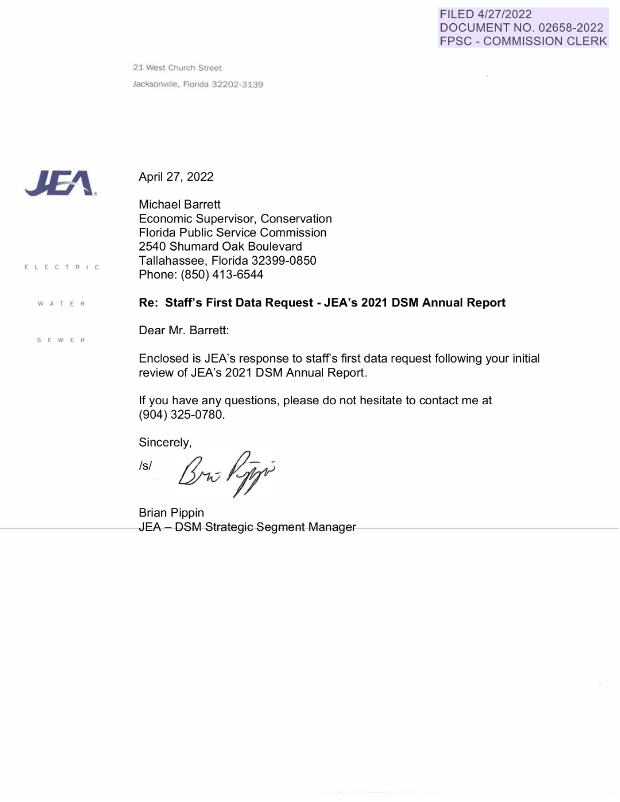## FILED 412712022 DOCUMENT NO. 02658-2022 FPSC - COMMISSION CLERK

 $\alpha$ 

21 West Church Street Jacksonville, Florida 32202-3139



ELECTRIC

**W A** T E R

S **E W** E R

April 27, 2022

Michael Barrett Economic Supervisor, Conservation Florida Public Service Commission 2540 Shumard Oak Boulevard Tallahassee, Florida 32399-0850 Phone: (850) 413-6544

## **Re: Staff's First Data Request - JEA's 2021 DSM Annual Report**

Dear Mr. Barrett:

Enclosed is JEA's response to staff's first data request following your initial review of JEA's 2021 DSM Annual Report.

If you have any questions, please do not hesitate to contact me at (904) 325-0780.

Sincerely,

Isl Bru Rippi

Brian Pippin JEA - DSM Strategic Segment Manager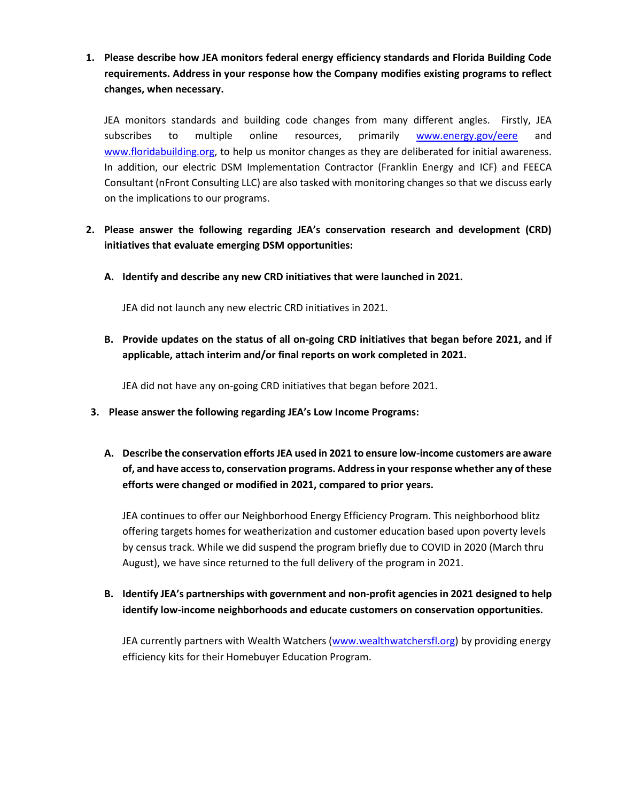**1. Please describe how JEA monitors federal energy efficiency standards and Florida Building Code requirements. Address in your response how the Company modifies existing programs to reflect changes, when necessary.**

JEA monitors standards and building code changes from many different angles. Firstly, JEA subscribes to multiple online resources, primarily [www.energy.gov/eere](http://www.energy.gov/eere) and [www.floridabuilding.org,](http://www.floridabuilding.org/) to help us monitor changes as they are deliberated for initial awareness. In addition, our electric DSM Implementation Contractor (Franklin Energy and ICF) and FEECA Consultant (nFront Consulting LLC) are also tasked with monitoring changes so that we discuss early on the implications to our programs.

- **2. Please answer the following regarding JEA's conservation research and development (CRD) initiatives that evaluate emerging DSM opportunities:**
	- **A. Identify and describe any new CRD initiatives that were launched in 2021.**

JEA did not launch any new electric CRD initiatives in 2021.

**B. Provide updates on the status of all on-going CRD initiatives that began before 2021, and if applicable, attach interim and/or final reports on work completed in 2021.**

JEA did not have any on-going CRD initiatives that began before 2021.

- **3. Please answer the following regarding JEA's Low Income Programs:**
	- **A. Describe the conservation efforts JEA used in 2021 to ensure low-income customers are aware of, and have access to, conservation programs. Address in your response whether any of these efforts were changed or modified in 2021, compared to prior years.**

JEA continues to offer our Neighborhood Energy Efficiency Program. This neighborhood blitz offering targets homes for weatherization and customer education based upon poverty levels by census track. While we did suspend the program briefly due to COVID in 2020 (March thru August), we have since returned to the full delivery of the program in 2021.

**B. Identify JEA's partnerships with government and non-profit agencies in 2021 designed to help identify low-income neighborhoods and educate customers on conservation opportunities.**

JEA currently partners with Wealth Watchers [\(www.wealthwatchersfl.org\)](http://www.wealthwatchersfl.org/) by providing energy efficiency kits for their Homebuyer Education Program.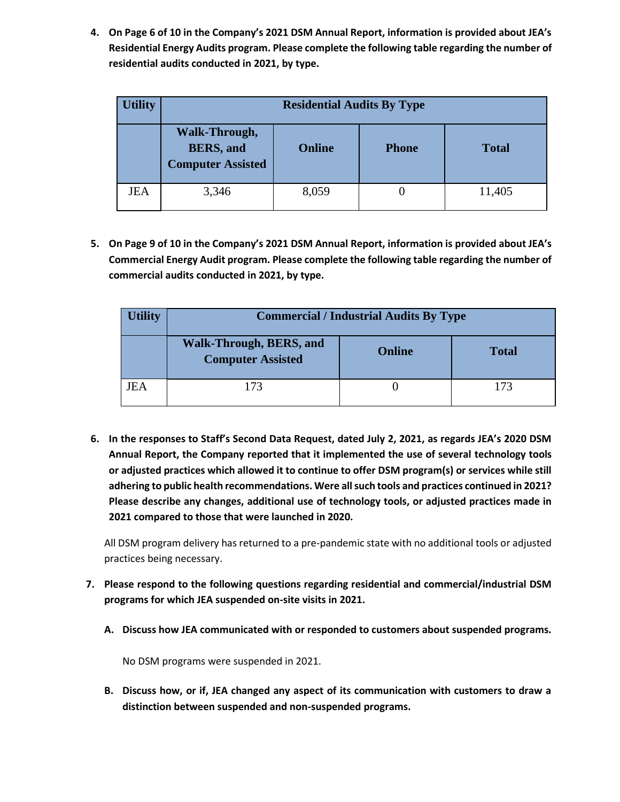**4. On Page 6 of 10 in the Company's 2021 DSM Annual Report, information is provided about JEA's Residential Energy Audits program. Please complete the following table regarding the number of residential audits conducted in 2021, by type.**

| <b>Utility</b> | <b>Residential Audits By Type</b>                              |               |              |              |  |
|----------------|----------------------------------------------------------------|---------------|--------------|--------------|--|
|                | Walk-Through,<br><b>BERS</b> , and<br><b>Computer Assisted</b> | <b>Online</b> | <b>Phone</b> | <b>Total</b> |  |
| JEA            | 3,346                                                          | 8,059         |              | 11,405       |  |

**5. On Page 9 of 10 in the Company's 2021 DSM Annual Report, information is provided about JEA's Commercial Energy Audit program. Please complete the following table regarding the number of commercial audits conducted in 2021, by type.**

| <b>Utility</b> | <b>Commercial / Industrial Audits By Type</b>       |               |              |  |  |
|----------------|-----------------------------------------------------|---------------|--------------|--|--|
|                | Walk-Through, BERS, and<br><b>Computer Assisted</b> | <b>Online</b> | <b>Total</b> |  |  |
| JEA            | 173                                                 |               | 173          |  |  |

**6. In the responses to Staff's Second Data Request, dated July 2, 2021, as regards JEA's 2020 DSM Annual Report, the Company reported that it implemented the use of several technology tools or adjusted practices which allowed it to continue to offer DSM program(s) or services while still adhering to public health recommendations. Were all such tools and practices continued in 2021? Please describe any changes, additional use of technology tools, or adjusted practices made in 2021 compared to those that were launched in 2020.**

All DSM program delivery has returned to a pre-pandemic state with no additional tools or adjusted practices being necessary.

- **7. Please respond to the following questions regarding residential and commercial/industrial DSM programs for which JEA suspended on-site visits in 2021.**
	- **A. Discuss how JEA communicated with or responded to customers about suspended programs.**

No DSM programs were suspended in 2021.

**B. Discuss how, or if, JEA changed any aspect of its communication with customers to draw a distinction between suspended and non-suspended programs.**